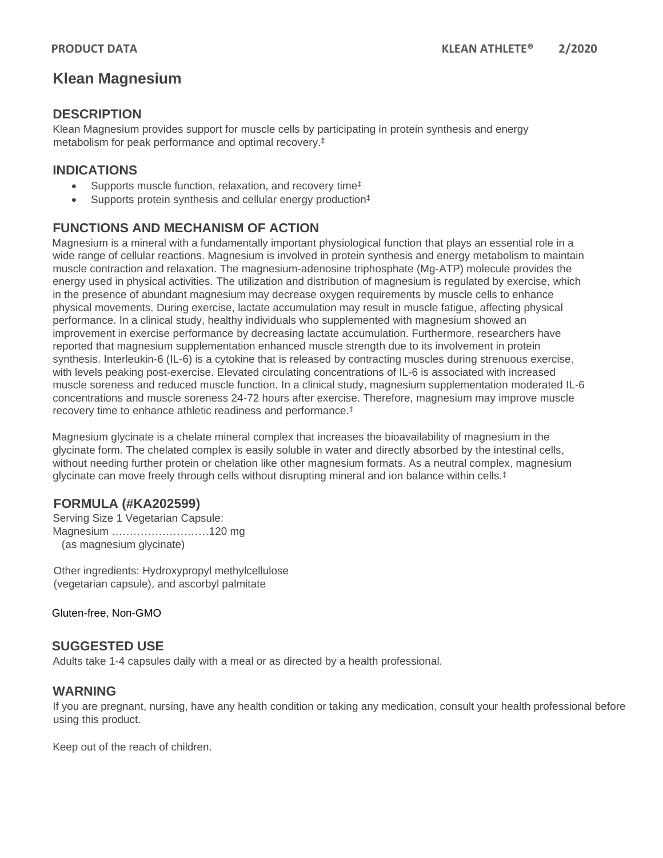# **Klean Magnesium**

### **DESCRIPTION**

Klean Magnesium provides support for muscle cells by participating in protein synthesis and energy metabolism for peak performance and optimal recovery. ‡

### **INDICATIONS**

- Supports muscle function, relaxation, and recovery time<sup>‡</sup>
- Supports protein synthesis and cellular energy production<sup>‡</sup>

# **FUNCTIONS AND MECHANISM OF ACTION**

Magnesium is a mineral with a fundamentally important physiological function that plays an essential role in a wide range of cellular reactions. Magnesium is involved in protein synthesis and energy metabolism to maintain muscle contraction and relaxation. The magnesium-adenosine triphosphate (Mg-ATP) molecule provides the energy used in physical activities. The utilization and distribution of magnesium is regulated by exercise, which in the presence of abundant magnesium may decrease oxygen requirements by muscle cells to enhance physical movements. During exercise, lactate accumulation may result in muscle fatigue, affecting physical performance. In a clinical study, healthy individuals who supplemented with magnesium showed an improvement in exercise performance by decreasing lactate accumulation. Furthermore, researchers have reported that magnesium supplementation enhanced muscle strength due to its involvement in protein synthesis. Interleukin-6 (IL-6) is a cytokine that is released by contracting muscles during strenuous exercise, with levels peaking post-exercise. Elevated circulating concentrations of IL-6 is associated with increased muscle soreness and reduced muscle function. In a clinical study, magnesium supplementation moderated IL-6 concentrations and muscle soreness 24-72 hours after exercise. Therefore, magnesium may improve muscle recovery time to enhance athletic readiness and performance.‡

Magnesium glycinate is a chelate mineral complex that increases the bioavailability of magnesium in the glycinate form. The chelated complex is easily soluble in water and directly absorbed by the intestinal cells, without needing further protein or chelation like other magnesium formats. As a neutral complex, magnesium glycinate can move freely through cells without disrupting mineral and ion balance within cells.‡

# **FORMULA (#KA202599)**

Serving Size 1 Vegetarian Capsule: Magnesium ………………………120 mg (as magnesium glycinate)

Other ingredients: Hydroxypropyl methylcellulose (vegetarian capsule), and ascorbyl palmitate

Gluten-free, Non-GMO

### **SUGGESTED USE**

Adults take 1-4 capsules daily with a meal or as directed by a health professional.

### **WARNING**

If you are pregnant, nursing, have any health condition or taking any medication, consult your health professional before using this product.

Keep out of the reach of children.